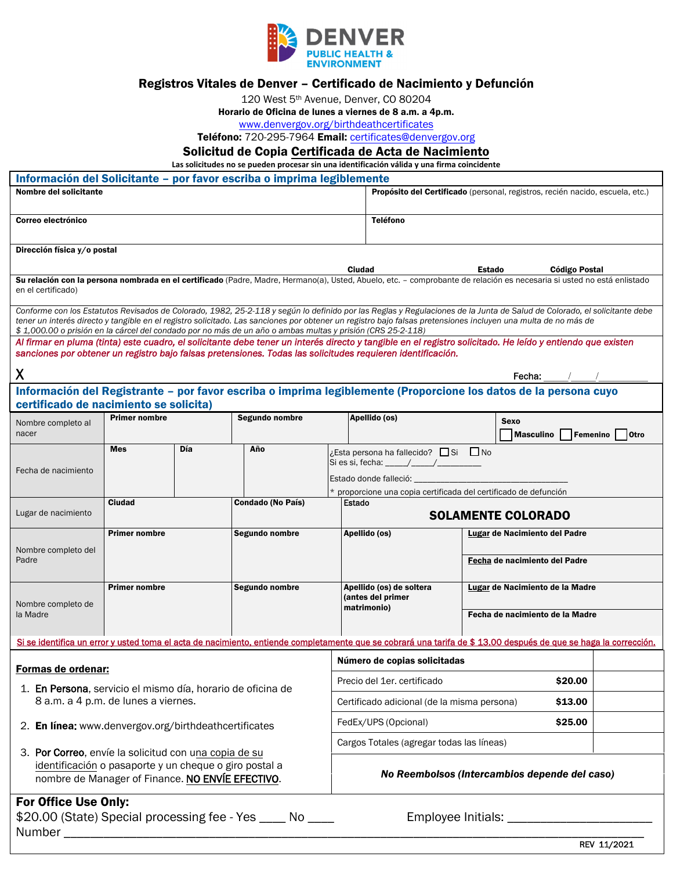

## Registros Vitales de Denver – Certificado de Nacimiento y Defunción

120 West 5th Avenue, Denver, CO 80204

Horario de Oficina de lunes a viernes de 8 a.m. a 4p.m.

<www.denvergov.org/birthdeathcertificates>

Teléfono: 720-295-7964 Email: [certificates@denvergov.org](mailto:certificates@denvergov.org)

## Solicitud de Copia Certificada de Acta de Nacimiento

 **Las solicitudes no se pueden procesar sin unaidentificación válida y una firma coincidente**

| Información del Solicitante - por favor escriba o imprima legiblemente                                                                                                                                                                                                                                                                                                                  |                                               |                             |                                                                                                                                                                                                                                                                                                                                           |                                                                            |                                                                                                                                        |                                        |                                             |             |  |
|-----------------------------------------------------------------------------------------------------------------------------------------------------------------------------------------------------------------------------------------------------------------------------------------------------------------------------------------------------------------------------------------|-----------------------------------------------|-----------------------------|-------------------------------------------------------------------------------------------------------------------------------------------------------------------------------------------------------------------------------------------------------------------------------------------------------------------------------------------|----------------------------------------------------------------------------|----------------------------------------------------------------------------------------------------------------------------------------|----------------------------------------|---------------------------------------------|-------------|--|
| Nombre del solicitante                                                                                                                                                                                                                                                                                                                                                                  |                                               |                             |                                                                                                                                                                                                                                                                                                                                           |                                                                            | Propósito del Certificado (personal, registros, recién nacido, escuela, etc.)                                                          |                                        |                                             |             |  |
| Correo electrónico                                                                                                                                                                                                                                                                                                                                                                      |                                               |                             |                                                                                                                                                                                                                                                                                                                                           |                                                                            | <b>Teléfono</b>                                                                                                                        |                                        |                                             |             |  |
| Dirección física y/o postal                                                                                                                                                                                                                                                                                                                                                             |                                               |                             |                                                                                                                                                                                                                                                                                                                                           |                                                                            |                                                                                                                                        |                                        |                                             |             |  |
| Ciudad<br>Estado<br>Código Postal<br>Su relación con la persona nombrada en el certificado (Padre, Madre, Hermano(a), Usted, Abuelo, etc. - comprobante de relación es necesaria si usted no está enlistado<br>en el certificado)                                                                                                                                                       |                                               |                             |                                                                                                                                                                                                                                                                                                                                           |                                                                            |                                                                                                                                        |                                        |                                             |             |  |
|                                                                                                                                                                                                                                                                                                                                                                                         |                                               |                             | Conforme con los Estatutos Revisados de Colorado, 1982, 25-2-118 y según lo definido por las Reglas y Regulaciones de la Junta de Salud de Colorado, el solicitante debe<br>tener un interés directo y tangible en el registro solicitado. Las sanciones por obtener un registro bajo falsas pretensiones incluyen una multa de no más de |                                                                            |                                                                                                                                        |                                        |                                             |             |  |
| \$1,000.00 o prisión en la cárcel del condado por no más de un año o ambas multas y prisión (CRS 25-2-118)<br>Al firmar en pluma (tinta) este cuadro, el solicitante debe tener un interés directo y tangible en el registro solicitado. He leído y entiendo que existen<br>sanciones por obtener un registro bajo falsas pretensiones. Todas las solicitudes requieren identificación. |                                               |                             |                                                                                                                                                                                                                                                                                                                                           |                                                                            |                                                                                                                                        |                                        |                                             |             |  |
| X<br>Fecha:                                                                                                                                                                                                                                                                                                                                                                             |                                               |                             |                                                                                                                                                                                                                                                                                                                                           |                                                                            |                                                                                                                                        |                                        |                                             |             |  |
| certificado de nacimiento se solicita)                                                                                                                                                                                                                                                                                                                                                  |                                               |                             | Información del Registrante – por favor escriba o imprima legiblemente (Proporcione los datos de la persona cuyo                                                                                                                                                                                                                          |                                                                            |                                                                                                                                        |                                        |                                             |             |  |
| Nombre completo al<br>nacer                                                                                                                                                                                                                                                                                                                                                             | <b>Primer nombre</b>                          |                             | Segundo nombre                                                                                                                                                                                                                                                                                                                            | Apellido (os)                                                              |                                                                                                                                        |                                        | <b>Sexo</b><br><b>Masculino</b><br>Femenino | <b>Otro</b> |  |
|                                                                                                                                                                                                                                                                                                                                                                                         | <b>Mes</b>                                    | Día                         | Año                                                                                                                                                                                                                                                                                                                                       |                                                                            | ¿Esta persona ha fallecido? □ Si □ No<br>Si es si, fecha: $\frac{1}{\sqrt{1-\frac{1}{2}}}\left  \frac{1}{\sqrt{1-\frac{1}{2}}}\right $ |                                        |                                             |             |  |
| Fecha de nacimiento                                                                                                                                                                                                                                                                                                                                                                     |                                               |                             |                                                                                                                                                                                                                                                                                                                                           | Estado donde falleció: _                                                   |                                                                                                                                        |                                        |                                             |             |  |
|                                                                                                                                                                                                                                                                                                                                                                                         | Ciudad<br><b>Condado (No País)</b>            |                             |                                                                                                                                                                                                                                                                                                                                           | * proporcione una copia certificada del certificado de defunción<br>Estado |                                                                                                                                        |                                        |                                             |             |  |
| Lugar de nacimiento                                                                                                                                                                                                                                                                                                                                                                     |                                               |                             |                                                                                                                                                                                                                                                                                                                                           |                                                                            |                                                                                                                                        | <b>SOLAMENTE COLORADO</b>              |                                             |             |  |
| Nombre completo del                                                                                                                                                                                                                                                                                                                                                                     | <b>Primer nombre</b>                          |                             | Segundo nombre                                                                                                                                                                                                                                                                                                                            |                                                                            | Apellido (os)                                                                                                                          |                                        | <b>Lugar de Nacimiento del Padre</b>        |             |  |
| Padre                                                                                                                                                                                                                                                                                                                                                                                   |                                               |                             |                                                                                                                                                                                                                                                                                                                                           |                                                                            |                                                                                                                                        |                                        | Fecha de nacimiento del Padre               |             |  |
|                                                                                                                                                                                                                                                                                                                                                                                         | <b>Primer nombre</b>                          |                             | Segundo nombre                                                                                                                                                                                                                                                                                                                            | (antes del primer                                                          | Apellido (os) de soltera                                                                                                               | <u>Lugar</u> de Nacimiento de la Madre |                                             |             |  |
| Nombre completo de<br>la Madre                                                                                                                                                                                                                                                                                                                                                          |                                               |                             |                                                                                                                                                                                                                                                                                                                                           | matrimonio)                                                                |                                                                                                                                        | Fecha de nacimiento de la Madre        |                                             |             |  |
|                                                                                                                                                                                                                                                                                                                                                                                         |                                               |                             | Si se identifica un error y usted toma el acta de nacimiento, entiende completamente que se cobrará una tarifa de \$ 13.00 después de que se haga la corrección,                                                                                                                                                                          |                                                                            |                                                                                                                                        |                                        |                                             |             |  |
| Formas de ordenar:                                                                                                                                                                                                                                                                                                                                                                      |                                               |                             |                                                                                                                                                                                                                                                                                                                                           | Número de copias solicitadas                                               |                                                                                                                                        |                                        |                                             |             |  |
| 1. En Persona, servicio el mismo día, horario de oficina de                                                                                                                                                                                                                                                                                                                             |                                               | Precio del 1er. certificado |                                                                                                                                                                                                                                                                                                                                           | \$20.00                                                                    |                                                                                                                                        |                                        |                                             |             |  |
| 8 a.m. a 4 p.m. de lunes a viernes.                                                                                                                                                                                                                                                                                                                                                     |                                               |                             |                                                                                                                                                                                                                                                                                                                                           | Certificado adicional (de la misma persona)<br>\$13.00                     |                                                                                                                                        |                                        |                                             |             |  |
| 2. En línea: www.denvergov.org/birthdeathcertificates                                                                                                                                                                                                                                                                                                                                   |                                               |                             |                                                                                                                                                                                                                                                                                                                                           | \$25.00<br>FedEx/UPS (Opcional)                                            |                                                                                                                                        |                                        |                                             |             |  |
| 3. Por Correo, envíe la solicitud con una copia de su                                                                                                                                                                                                                                                                                                                                   | Cargos Totales (agregar todas las líneas)     |                             |                                                                                                                                                                                                                                                                                                                                           |                                                                            |                                                                                                                                        |                                        |                                             |             |  |
| identificación o pasaporte y un cheque o giro postal a<br>nombre de Manager of Finance. NO ENVÍE EFECTIVO.                                                                                                                                                                                                                                                                              | No Reembolsos (Intercambios depende del caso) |                             |                                                                                                                                                                                                                                                                                                                                           |                                                                            |                                                                                                                                        |                                        |                                             |             |  |
| For Office Use Only:<br>\$20.00 (State) Special processing fee - Yes ____ No ____<br>Employee Initials: _________________________                                                                                                                                                                                                                                                       |                                               |                             |                                                                                                                                                                                                                                                                                                                                           |                                                                            |                                                                                                                                        |                                        |                                             |             |  |